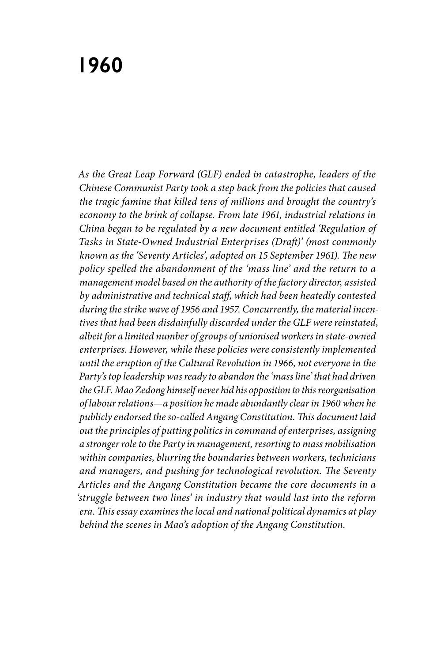# **1960**

*As the Great Leap Forward (GLF) ended in catastrophe, leaders of the Chinese Communist Party took a step back from the policies that caused the tragic famine that killed tens of millions and brought the country's economy to the brink of collapse. From late 1961, industrial relations in China began to be regulated by a new document entitled 'Regulation of Tasks in State-Owned Industrial Enterprises (Draft)' (most commonly known as the 'Seventy Articles', adopted on 15 September 1961). The new policy spelled the abandonment of the 'mass line' and the return to a management model based on the authority of the factory director, assisted by administrative and technical staff, which had been heatedly contested during the strike wave of 1956 and 1957. Concurrently, the material incentives that had been disdainfully discarded under the GLF were reinstated, albeit for a limited number of groups of unionised workers in state-owned enterprises. However, while these policies were consistently implemented until the eruption of the Cultural Revolution in 1966, not everyone in the Party's top leadership was ready to abandon the 'mass line' that had driven the GLF. Mao Zedong himself never hid his opposition to this reorganisation of labour relations—a position he made abundantly clear in 1960 when he publicly endorsed the so-called Angang Constitution. This document laid out the principles of putting politics in command of enterprises, assigning a stronger role to the Party in management, resorting to mass mobilisation within companies, blurring the boundaries between workers, technicians and managers, and pushing for technological revolution. The Seventy Articles and the Angang Constitution became the core documents in a 'struggle between two lines' in industry that would last into the reform era. This essay examines the local and national political dynamics at play behind the scenes in Mao's adoption of the Angang Constitution.*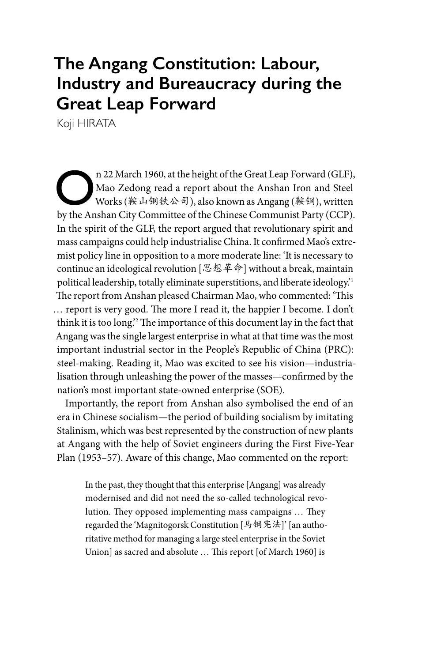## **The Angang Constitution: Labour, Industry and Bureaucracy during the Great Leap Forward**

Koji HIRATA

n 22 March 1960, at the height of the Great Leap Forward (GLF), Mao Zedong read a report about the Anshan Iron and Steel Works (鞍山钢铁公司), also known as Angang (鞍钢), written by the Anshan City Committee of the Chinese Communist Party (CCP). In the spirit of the GLF, the report argued that revolutionary spirit and mass campaigns could help industrialise China. It confirmed Mao's extremist policy line in opposition to a more moderate line: 'It is necessary to continue an ideological revolution  $[\mathcal{R}, \mathcal{B}]$   $\neq$   $\hat{\phi}$  without a break, maintain political leadership, totally eliminate superstitions, and liberate ideology.'1 The report from Anshan pleased Chairman Mao, who commented: 'This … report is very good. The more I read it, the happier I become. I don't think it is too long.'2 The importance of this document lay in the fact that Angang was the single largest enterprise in what at that time was the most important industrial sector in the People's Republic of China (PRC): steel-making. Reading it, Mao was excited to see his vision—industrialisation through unleashing the power of the masses—confirmed by the nation's most important state-owned enterprise (SOE).

Importantly, the report from Anshan also symbolised the end of an era in Chinese socialism—the period of building socialism by imitating Stalinism, which was best represented by the construction of new plants at Angang with the help of Soviet engineers during the First Five-Year Plan (1953–57). Aware of this change, Mao commented on the report:

In the past, they thought that this enterprise [Angang] was already modernised and did not need the so-called technological revolution. They opposed implementing mass campaigns … They regarded the 'Magnitogorsk Constitution [马钢宪法]' [an authoritative method for managing a large steel enterprise in the Soviet Union] as sacred and absolute … This report [of March 1960] is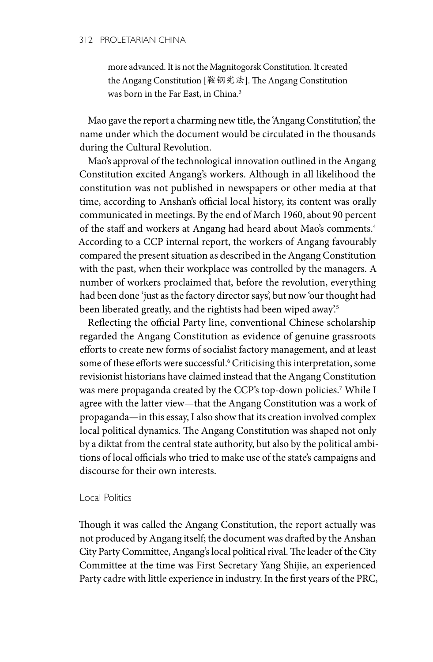more advanced. It is not the Magnitogorsk Constitution. It created the Angang Constitution [鞍钢宪法]. The Angang Constitution was born in the Far East, in China.3

Mao gave the report a charming new title, the 'Angang Constitution', the name under which the document would be circulated in the thousands during the Cultural Revolution.

Mao's approval of the technological innovation outlined in the Angang Constitution excited Angang's workers. Although in all likelihood the constitution was not published in newspapers or other media at that time, according to Anshan's official local history, its content was orally communicated in meetings. By the end of March 1960, about 90 percent of the staff and workers at Angang had heard about Mao's comments.4 According to a CCP internal report, the workers of Angang favourably compared the present situation as described in the Angang Constitution with the past, when their workplace was controlled by the managers. A number of workers proclaimed that, before the revolution, everything had been done 'just as the factory director says', but now 'our thought had been liberated greatly, and the rightists had been wiped away'.<sup>5</sup>

Reflecting the official Party line, conventional Chinese scholarship regarded the Angang Constitution as evidence of genuine grassroots efforts to create new forms of socialist factory management, and at least some of these efforts were successful.<sup>6</sup> Criticising this interpretation, some revisionist historians have claimed instead that the Angang Constitution was mere propaganda created by the CCP's top-down policies.7 While I agree with the latter view—that the Angang Constitution was a work of propaganda—in this essay, I also show that its creation involved complex local political dynamics. The Angang Constitution was shaped not only by a diktat from the central state authority, but also by the political ambitions of local officials who tried to make use of the state's campaigns and discourse for their own interests.

### Local Politics

Though it was called the Angang Constitution, the report actually was not produced by Angang itself; the document was drafted by the Anshan City Party Committee, Angang's local political rival. The leader of the City Committee at the time was First Secretary Yang Shijie, an experienced Party cadre with little experience in industry. In the first years of the PRC,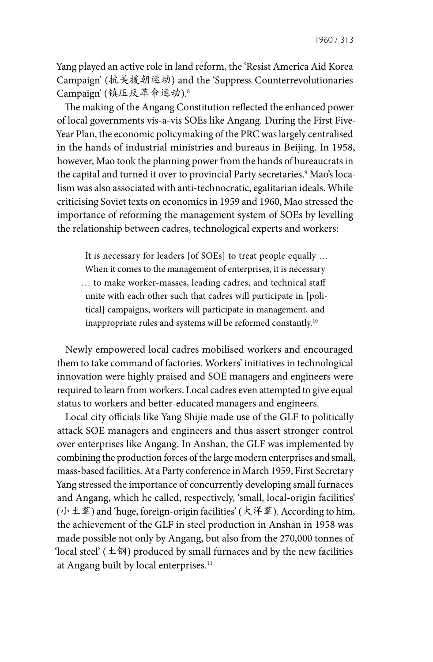Yang played an active role in land reform, the 'Resist America Aid Korea Campaign' (抗美援朝运动) and the 'Suppress Counterrevolutionaries Campaign' (镇压反革命运动).8

The making of the Angang Constitution reflected the enhanced power of local governments vis-a-vis SOEs like Angang. During the First Five-Year Plan, the economic policymaking of the PRC was largely centralised in the hands of industrial ministries and bureaus in Beijing. In 1958, however, Mao took the planning power from the hands of bureaucrats in the capital and turned it over to provincial Party secretaries.<sup>9</sup> Mao's localism was also associated with anti-technocratic, egalitarian ideals. While criticising Soviet texts on economics in 1959 and 1960, Mao stressed the importance of reforming the management system of SOEs by levelling the relationship between cadres, technological experts and workers:

It is necessary for leaders [of SOEs] to treat people equally … When it comes to the management of enterprises, it is necessary … to make worker-masses, leading cadres, and technical staff unite with each other such that cadres will participate in [political] campaigns, workers will participate in management, and inappropriate rules and systems will be reformed constantly.10

Newly empowered local cadres mobilised workers and encouraged them to take command of factories. Workers' initiatives in technological innovation were highly praised and SOE managers and engineers were required to learn from workers. Local cadres even attempted to give equal status to workers and better-educated managers and engineers.

Local city officials like Yang Shijie made use of the GLF to politically attack SOE managers and engineers and thus assert stronger control over enterprises like Angang. In Anshan, the GLF was implemented by combining the production forces of the large modern enterprises and small, mass-based facilities. At a Party conference in March 1959, First Secretary Yang stressed the importance of concurrently developing small furnaces and Angang, which he called, respectively, 'small, local-origin facilities' (小土羣) and 'huge, foreign-origin facilities' (大洋羣). According to him, the achievement of the GLF in steel production in Anshan in 1958 was made possible not only by Angang, but also from the 270,000 tonnes of 'local steel'  $(\pm \mathfrak{M})$  produced by small furnaces and by the new facilities at Angang built by local enterprises.<sup>11</sup>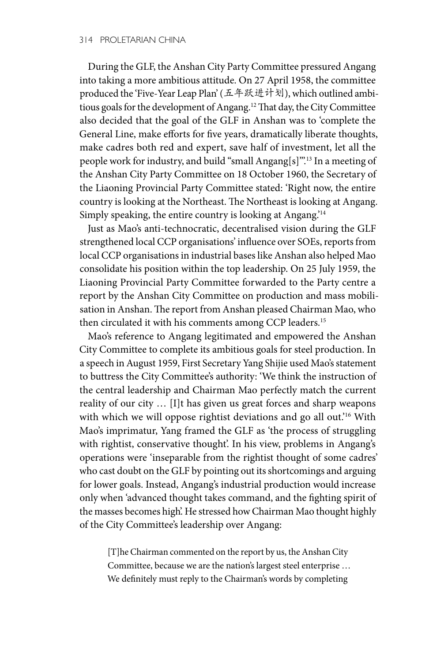During the GLF, the Anshan City Party Committee pressured Angang into taking a more ambitious attitude. On 27 April 1958, the committee produced the 'Five-Year Leap Plan' (五年跃进计划), which outlined ambitious goals for the development of Angang.12 That day, the City Committee also decided that the goal of the GLF in Anshan was to 'complete the General Line, make efforts for five years, dramatically liberate thoughts, make cadres both red and expert, save half of investment, let all the people work for industry, and build "small Angang[s]"'.13 In a meeting of the Anshan City Party Committee on 18 October 1960, the Secretary of the Liaoning Provincial Party Committee stated: 'Right now, the entire country is looking at the Northeast. The Northeast is looking at Angang. Simply speaking, the entire country is looking at Angang.'14

Just as Mao's anti-technocratic, decentralised vision during the GLF strengthened local CCP organisations' influence over SOEs, reports from local CCP organisations in industrial bases like Anshan also helped Mao consolidate his position within the top leadership. On 25 July 1959, the Liaoning Provincial Party Committee forwarded to the Party centre a report by the Anshan City Committee on production and mass mobilisation in Anshan. The report from Anshan pleased Chairman Mao, who then circulated it with his comments among CCP leaders.15

Mao's reference to Angang legitimated and empowered the Anshan City Committee to complete its ambitious goals for steel production. In a speech in August 1959, First Secretary Yang Shijie used Mao's statement to buttress the City Committee's authority: 'We think the instruction of the central leadership and Chairman Mao perfectly match the current reality of our city … [I]t has given us great forces and sharp weapons with which we will oppose rightist deviations and go all out.'16 With Mao's imprimatur, Yang framed the GLF as 'the process of struggling with rightist, conservative thought'. In his view, problems in Angang's operations were 'inseparable from the rightist thought of some cadres' who cast doubt on the GLF by pointing out its shortcomings and arguing for lower goals. Instead, Angang's industrial production would increase only when 'advanced thought takes command, and the fighting spirit of the masses becomes high'. He stressed how Chairman Mao thought highly of the City Committee's leadership over Angang:

[T]he Chairman commented on the report by us, the Anshan City Committee, because we are the nation's largest steel enterprise … We definitely must reply to the Chairman's words by completing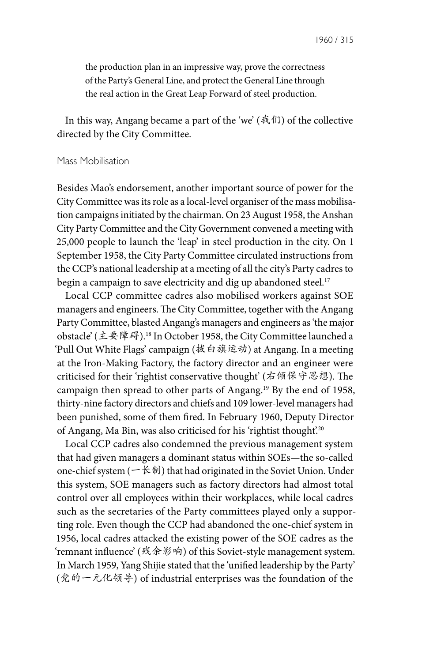the production plan in an impressive way, prove the correctness of the Party's General Line, and protect the General Line through the real action in the Great Leap Forward of steel production.

In this way, Angang became a part of the 'we' (我们) of the collective directed by the City Committee.

#### Mass Mobilisation

Besides Mao's endorsement, another important source of power for the City Committee was its role as a local-level organiser of the mass mobilisation campaigns initiated by the chairman. On 23 August 1958, the Anshan City Party Committee and the City Government convened a meeting with 25,000 people to launch the 'leap' in steel production in the city. On 1 September 1958, the City Party Committee circulated instructions from the CCP's national leadership at a meeting of all the city's Party cadres to begin a campaign to save electricity and dig up abandoned steel.<sup>17</sup>

Local CCP committee cadres also mobilised workers against SOE managers and engineers. The City Committee, together with the Angang Party Committee, blasted Angang's managers and engineers as 'the major obstacle' (主要障碍).18 In October 1958, the City Committee launched a 'Pull Out White Flags' campaign (拔白旗运动) at Angang. In a meeting at the Iron-Making Factory, the factory director and an engineer were criticised for their 'rightist conservative thought' (右倾保守思想). The campaign then spread to other parts of Angang.19 By the end of 1958, thirty-nine factory directors and chiefs and 109 lower-level managers had been punished, some of them fired. In February 1960, Deputy Director of Angang, Ma Bin, was also criticised for his 'rightist thought'.<sup>20</sup>

Local CCP cadres also condemned the previous management system that had given managers a dominant status within SOEs—the so-called one-chief system  $(-\nless\frac{1}{2})$  that had originated in the Soviet Union. Under this system, SOE managers such as factory directors had almost total control over all employees within their workplaces, while local cadres such as the secretaries of the Party committees played only a supporting role. Even though the CCP had abandoned the one-chief system in 1956, local cadres attacked the existing power of the SOE cadres as the 'remnant influence' (残余影响) of this Soviet-style management system. In March 1959, Yang Shijie stated that the 'unified leadership by the Party' (党的一元化领导) of industrial enterprises was the foundation of the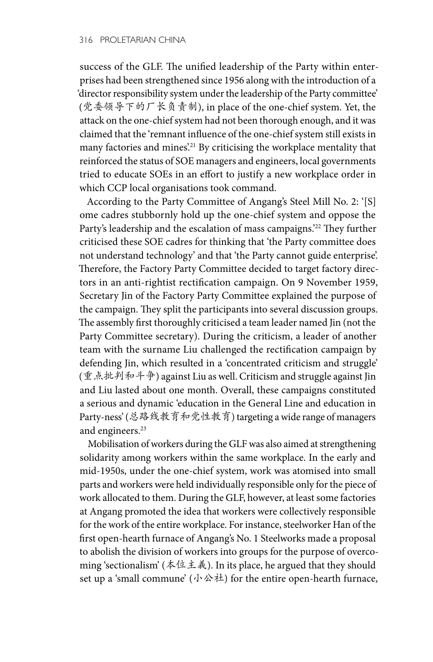success of the GLF. The unified leadership of the Party within enterprises had been strengthened since 1956 along with the introduction of a 'director responsibility system under the leadership of the Party committee' (党委领导下的厂长负责制), in place of the one-chief system. Yet, the attack on the one-chief system had not been thorough enough, and it was claimed that the 'remnant influence of the one-chief system still exists in many factories and mines.<sup>21</sup> By criticising the workplace mentality that reinforced the status of SOE managers and engineers, local governments tried to educate SOEs in an effort to justify a new workplace order in which CCP local organisations took command.

According to the Party Committee of Angang's Steel Mill No. 2: '[S] ome cadres stubbornly hold up the one-chief system and oppose the Party's leadership and the escalation of mass campaigns.<sup>22</sup> They further criticised these SOE cadres for thinking that 'the Party committee does not understand technology' and that 'the Party cannot guide enterprise'. Therefore, the Factory Party Committee decided to target factory directors in an anti-rightist rectification campaign. On 9 November 1959, Secretary Jin of the Factory Party Committee explained the purpose of the campaign. They split the participants into several discussion groups. The assembly first thoroughly criticised a team leader named Jin (not the Party Committee secretary). During the criticism, a leader of another team with the surname Liu challenged the rectification campaign by defending Jin, which resulted in a 'concentrated criticism and struggle' (重点批判和斗争) against Liu as well. Criticism and struggle against Jin and Liu lasted about one month. Overall, these campaigns constituted a serious and dynamic 'education in the General Line and education in Party-ness' (总路线教育和党性教育) targeting a wide range of managers and engineers.<sup>23</sup>

Mobilisation of workers during the GLF was also aimed at strengthening solidarity among workers within the same workplace. In the early and mid-1950s, under the one-chief system, work was atomised into small parts and workers were held individually responsible only for the piece of work allocated to them. During the GLF, however, at least some factories at Angang promoted the idea that workers were collectively responsible for the work of the entire workplace. For instance, steelworker Han of the first open-hearth furnace of Angang's No. 1 Steelworks made a proposal to abolish the division of workers into groups for the purpose of overcoming 'sectionalism' (本位主義). In its place, he argued that they should set up a 'small commune' (小公社) for the entire open-hearth furnace,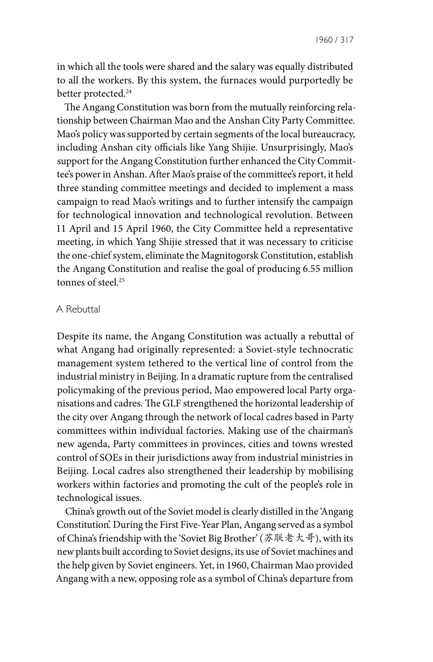1960 / 317

in which all the tools were shared and the salary was equally distributed to all the workers. By this system, the furnaces would purportedly be better protected.<sup>24</sup>

The Angang Constitution was born from the mutually reinforcing relationship between Chairman Mao and the Anshan City Party Committee. Mao's policy was supported by certain segments of the local bureaucracy, including Anshan city officials like Yang Shijie. Unsurprisingly, Mao's support for the Angang Constitution further enhanced the City Committee's power in Anshan. After Mao's praise of the committee's report, it held three standing committee meetings and decided to implement a mass campaign to read Mao's writings and to further intensify the campaign for technological innovation and technological revolution. Between 11 April and 15 April 1960, the City Committee held a representative meeting, in which Yang Shijie stressed that it was necessary to criticise the one-chief system, eliminate the Magnitogorsk Constitution, establish the Angang Constitution and realise the goal of producing 6.55 million tonnes of steel.<sup>25</sup>

#### A Rebuttal

Despite its name, the Angang Constitution was actually a rebuttal of what Angang had originally represented: a Soviet-style technocratic management system tethered to the vertical line of control from the industrial ministry in Beijing. In a dramatic rupture from the centralised policymaking of the previous period, Mao empowered local Party organisations and cadres. The GLF strengthened the horizontal leadership of the city over Angang through the network of local cadres based in Party committees within individual factories. Making use of the chairman's new agenda, Party committees in provinces, cities and towns wrested control of SOEs in their jurisdictions away from industrial ministries in Beijing. Local cadres also strengthened their leadership by mobilising workers within factories and promoting the cult of the people's role in technological issues.

China's growth out of the Soviet model is clearly distilled in the 'Angang Constitution'. During the First Five-Year Plan, Angang served as a symbol of China's friendship with the 'Soviet Big Brother' (苏联老大哥), with its new plants built according to Soviet designs, its use of Soviet machines and the help given by Soviet engineers. Yet, in 1960, Chairman Mao provided Angang with a new, opposing role as a symbol of China's departure from